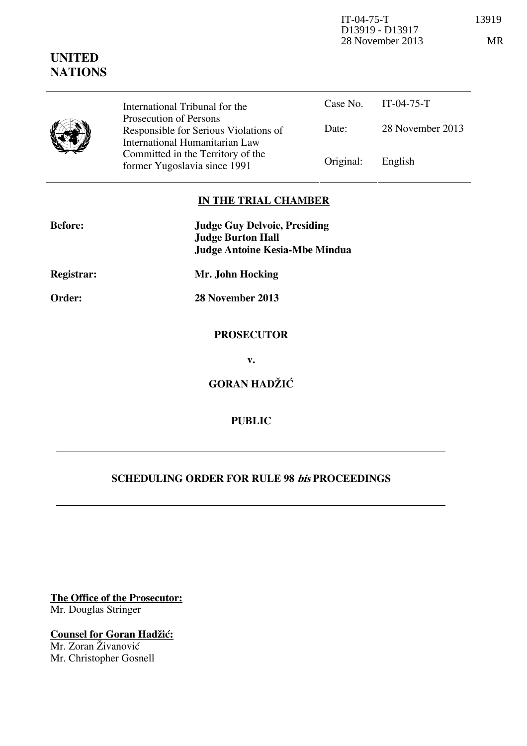IT-04-75-T 13919 D13919 - D13917 28 November 2013 MR

|  | International Tribunal for the                                                                    |           | Case No. $IT-04-75-T$ |
|--|---------------------------------------------------------------------------------------------------|-----------|-----------------------|
|  | Prosecution of Persons<br>Responsible for Serious Violations of<br>International Humanitarian Law | Date:     | 28 November 2013      |
|  | Committed in the Territory of the<br>former Yugoslavia since 1991                                 | Original: | English               |

## **IN THE TRIAL CHAMBER**

| <b>Before:</b> | <b>Judge Guy Delvoie, Presiding</b>   |  |
|----------------|---------------------------------------|--|
|                | <b>Judge Burton Hall</b>              |  |
|                | <b>Judge Antoine Kesia-Mbe Mindua</b> |  |
| Registrar:     | Mr. John Hocking                      |  |
| Order:         | 28 November 2013                      |  |
|                | <b>PROSECUTOR</b>                     |  |
|                | v.                                    |  |
|                | <b>GORAN HADŽIĆ</b>                   |  |
|                | <b>PUBLIC</b>                         |  |

## **SCHEDULING ORDER FOR RULE 98 bis PROCEEDINGS**

**The Office of the Prosecutor:** Mr. Douglas Stringer

**Counsel for Goran Hadžić:** Mr. Zoran Živanović Mr. Christopher Gosnell

## **UNITED NATIONS**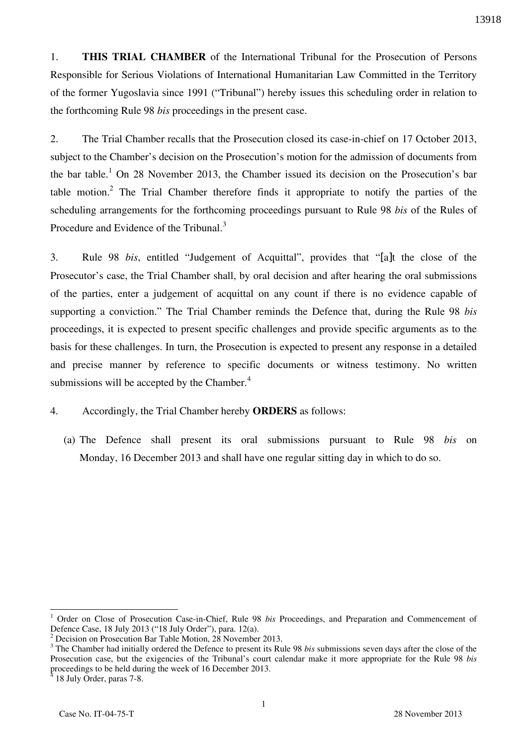1. **THIS TRIAL CHAMBER** of the International Tribunal for the Prosecution of Persons Responsible for Serious Violations of International Humanitarian Law Committed in the Territory of the former Yugoslavia since 1991 ("Tribunal") hereby issues this scheduling order in relation to the forthcoming Rule 98 *bis* proceedings in the present case.

2. The Trial Chamber recalls that the Prosecution closed its case-in-chief on 17 October 2013, subject to the Chamber's decision on the Prosecution's motion for the admission of documents from the bar table.<sup>1</sup> On 28 November 2013, the Chamber issued its decision on the Prosecution's bar table motion.<sup>2</sup> The Trial Chamber therefore finds it appropriate to notify the parties of the scheduling arrangements for the forthcoming proceedings pursuant to Rule 98 *bis* of the Rules of Procedure and Evidence of the Tribunal.<sup>3</sup>

3. Rule 98 *bis*, entitled "Judgement of Acquittal", provides that "[a]t the close of the Prosecutor's case, the Trial Chamber shall, by oral decision and after hearing the oral submissions of the parties, enter a judgement of acquittal on any count if there is no evidence capable of supporting a conviction." The Trial Chamber reminds the Defence that, during the Rule 98 *bis* proceedings, it is expected to present specific challenges and provide specific arguments as to the basis for these challenges. In turn, the Prosecution is expected to present any response in a detailed and precise manner by reference to specific documents or witness testimony. No written submissions will be accepted by the Chamber.<sup>4</sup>

## 4. Accordingly, the Trial Chamber hereby **ORDERS** as follows:

(a) The Defence shall present its oral submissions pursuant to Rule 98 *bis* on Monday, 16 December 2013 and shall have one regular sitting day in which to do so.

 $\overline{a}$ 

<sup>1</sup> Order on Close of Prosecution Case-in-Chief, Rule 98 *bis* Proceedings, and Preparation and Commencement of Defence Case, 18 July 2013 ("18 July Order"), para. 12(a).

<sup>&</sup>lt;sup>2</sup> Decision on Prosecution Bar Table Motion, 28 November 2013.

<sup>&</sup>lt;sup>3</sup> The Chamber had initially ordered the Defence to present its Rule 98 *bis* submissions seven days after the close of the Prosecution case, but the exigencies of the Tribunal's court calendar make it more appropriate for the Rule 98 *bis* proceedings to be held during the week of 16 December 2013.

<sup>4</sup> 18 July Order, paras 7-8.